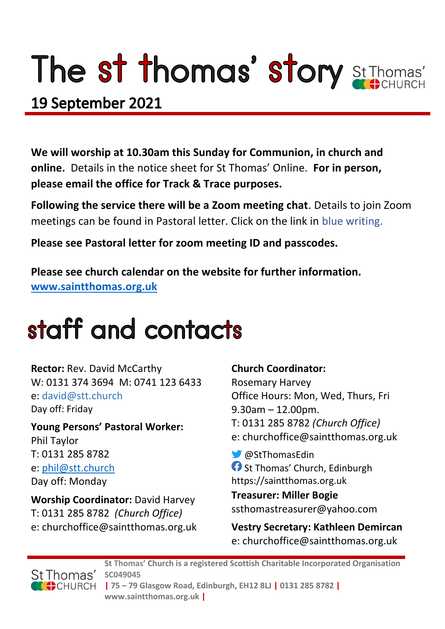# The st thomas' story St Thomas'

### 19 September 2021

**We will worship at 10.30am this Sunday for Communion, in church and online.** Details in the notice sheet for St Thomas' Online. **For in person, please email the office for Track & Trace purposes.**

**Following the service there will be a Zoom meeting chat**. Details to join Zoom meetings can be found in Pastoral letter. Click on the link in blue writing.

**Please see Pastoral letter for zoom meeting ID and passcodes.**

**Please see church calendar on the website for further information. [www.saintthomas.org.uk](http://www.saintthomas.org.uk/)**

### staff and contacts

**Rector:** Rev. David McCarthy W: 0131 374 3694 M: 0741 123 6433 e: david@stt.church Day off: Friday

**Young Persons' Pastoral Worker:** Phil Taylor T: 0131 285 8782 e: [phil@stt.church](mailto:phil@stt.church) Day off: Monday

**Worship Coordinator:** David Harvey T: 0131 285 8782 *(Church Office)* e: churchoffice@saintthomas.org.uk

#### **Church Coordinator:**

Rosemary Harvey Office Hours: Mon, Wed, Thurs, Fri 9.30am – 12.00pm. T: 0131 285 8782 *(Church Office)* e: churchoffice@saintthomas.org.uk

@StThomasEdin **St Thomas' Church, Edinburgh** https://saintthomas.org.uk

**Treasurer: Miller Bogie** ssthomastreasurer@yahoo.com

**Vestry Secretary: Kathleen Demircan**  e: churchoffice@saintthomas.org.uk



**St Thomas' Church is a registered Scottish Charitable Incorporated Organisation SC049045 | 75 – 79 Glasgow Road, Edinburgh, EH12 8LJ | 0131 285 8782 |** 

**www.saintthomas.org.uk |**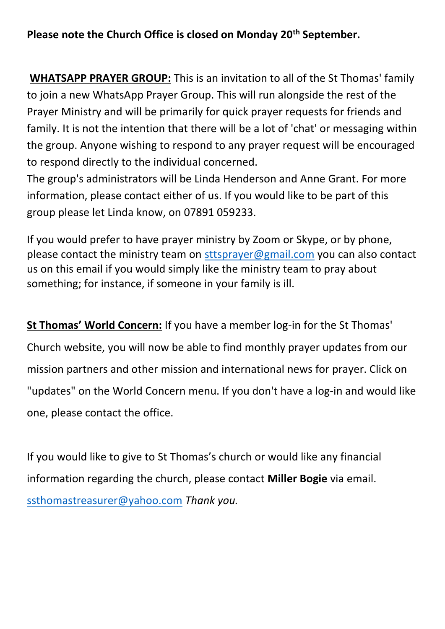#### **Please note the Church Office is closed on Monday 20th September.**

**WHATSAPP PRAYER GROUP:** This is an invitation to all of the St Thomas' family to join a new WhatsApp Prayer Group. This will run alongside the rest of the Prayer Ministry and will be primarily for quick prayer requests for friends and family. It is not the intention that there will be a lot of 'chat' or messaging within the group. Anyone wishing to respond to any prayer request will be encouraged to respond directly to the individual concerned.

The group's administrators will be Linda Henderson and Anne Grant. For more information, please contact either of us. If you would like to be part of this group please let Linda know, on 07891 059233.

If you would prefer to have prayer ministry by Zoom or Skype, or by phone, please contact the ministry team on [sttsprayer@gmail.com](mailto:sttsprayer@gmail.com) you can also contact us on this email if you would simply like the ministry team to pray about something; for instance, if someone in your family is ill.

**St Thomas' World Concern:** If you have a member log-in for the St Thomas' Church website, you will now be able to find monthly prayer updates from our mission partners and other mission and international news for prayer. Click on "updates" on the World Concern menu. If you don't have a log-in and would like one, please contact the office.

If you would like to give to St Thomas's church or would like any financial information regarding the church, please contact **Miller Bogie** via email. [ssthomastreasurer@yahoo.com](mailto:ssthomastreasurer@yahoo.com) *Thank you.*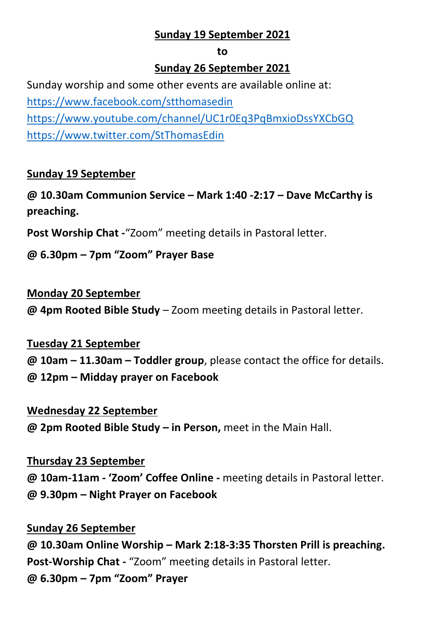#### **Sunday 19 September 2021**

#### **to**

#### **Sunday 26 September 2021**

Sunday worship and some other events are available online at: <https://www.facebook.com/stthomasedin> <https://www.youtube.com/channel/UC1r0Eq3PqBmxioDssYXCbGQ> <https://www.twitter.com/StThomasEdin>

#### **Sunday 19 September**

**@ 10.30am Communion Service – Mark 1:40 -2:17 – Dave McCarthy is preaching.**

**Post Worship Chat -**"Zoom" meeting details in Pastoral letter.

**@ 6.30pm – 7pm "Zoom" Prayer Base**

#### **Monday 20 September**

**@ 4pm Rooted Bible Study** – Zoom meeting details in Pastoral letter.

#### **Tuesday 21 September**

**@ 10am – 11.30am – Toddler group**, please contact the office for details. **@ 12pm – Midday prayer on Facebook**

#### **Wednesday 22 September**

**@ 2pm Rooted Bible Study – in Person,** meet in the Main Hall.

#### **Thursday 23 September**

**@ 10am-11am - 'Zoom' Coffee Online -** meeting details in Pastoral letter. **@ 9.30pm – Night Prayer on Facebook** 

#### **Sunday 26 September**

**@ 10.30am Online Worship – Mark 2:18-3:35 Thorsten Prill is preaching. Post-Worship Chat -** "Zoom" meeting details in Pastoral letter. **@ 6.30pm – 7pm "Zoom" Prayer**